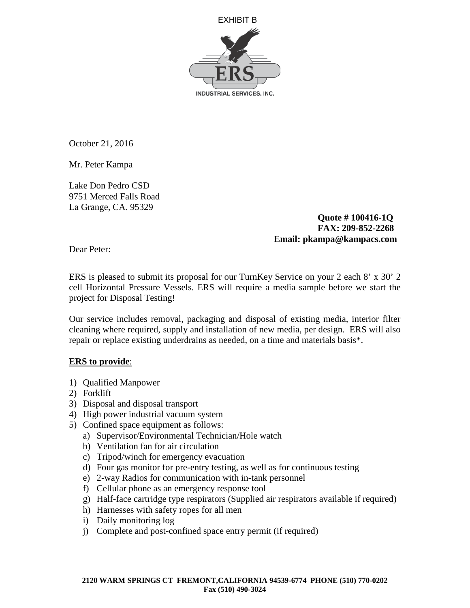

October 21, 2016

Mr. Peter Kampa

Lake Don Pedro CSD 9751 Merced Falls Road La Grange, CA. 95329

> **Quote # 100416-1Q FAX: 209-852-2268 Email: pkampa@kampacs.com**

Dear Peter:

ERS is pleased to submit its proposal for our TurnKey Service on your 2 each 8' x 30' 2 cell Horizontal Pressure Vessels. ERS will require a media sample before we start the project for Disposal Testing!

Our service includes removal, packaging and disposal of existing media, interior filter cleaning where required, supply and installation of new media, per design. ERS will also repair or replace existing underdrains as needed, on a time and materials basis\*.

## **ERS to provide**:

- 1) Qualified Manpower
- 2) Forklift
- 3) Disposal and disposal transport
- 4) High power industrial vacuum system
- 5) Confined space equipment as follows:
	- a) Supervisor/Environmental Technician/Hole watch
	- b) Ventilation fan for air circulation
	- c) Tripod/winch for emergency evacuation
	- d) Four gas monitor for pre-entry testing, as well as for continuous testing
	- e) 2-way Radios for communication with in-tank personnel
	- f) Cellular phone as an emergency response tool
	- g) Half-face cartridge type respirators (Supplied air respirators available if required)
	- h) Harnesses with safety ropes for all men
	- i) Daily monitoring log
	- j) Complete and post-confined space entry permit (if required)